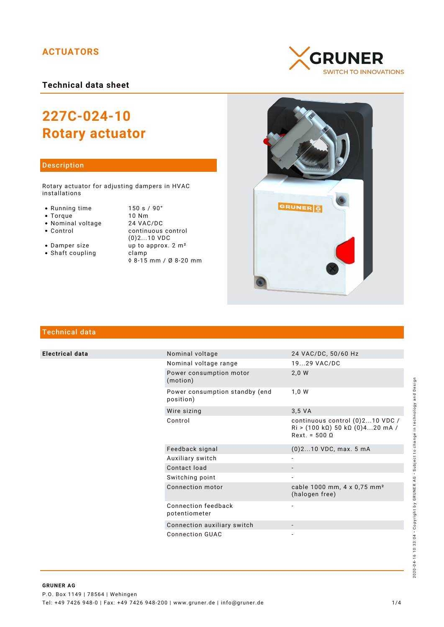# **ACTUATORS**

**Technical data sheet**

# **227C-024-10 Rotary actuator**

## Description

Rotary actuator for adjusting dampers in HVAC installations

- 
- 
- 
- Nominal voltage<br>• Control
- 
- $\bullet$  Shaft coupling

• Running time 150 s / 90°<br>• Torque 10 Nm • Torque 10 Nm<br>• Nominal voltage 24 VAC/DC continuous control (0)2...10 VDC • Damper size  $\frac{1}{2}$  up to approx.  $2 \text{ m}^2$ <br>• Shaft coupling clamp ◊ 8-15 mm / Ø 8-20 mm





# Technical data

**Electrical data** 

|  | Nominal voltage                             | 24 VAC/DC, 50/60 Hz                                                                   |
|--|---------------------------------------------|---------------------------------------------------------------------------------------|
|  | Nominal voltage range                       | 1929 VAC/DC                                                                           |
|  | Power consumption motor<br>(motion)         | 2,0 W                                                                                 |
|  | Power consumption standby (end<br>position) | 1,0 W                                                                                 |
|  | Wire sizing                                 | 3.5 VA                                                                                |
|  | Control                                     | continuous control (0)210 VDC /<br>$Ri$ > (100 kΩ) 50 kΩ (0)420 mA /<br>$Rext = 5000$ |
|  | Feedback signal                             | $(0)$ 210 VDC, max. 5 mA                                                              |
|  | Auxiliary switch                            |                                                                                       |
|  | Contact load                                |                                                                                       |
|  | Switching point                             |                                                                                       |
|  | Connection motor                            | cable 1000 mm, 4 x 0,75 mm <sup>2</sup><br>(halogen free)                             |
|  | Connection feedback<br>potentiometer        |                                                                                       |
|  | Connection auxiliary switch                 |                                                                                       |
|  | Connection GUAC                             |                                                                                       |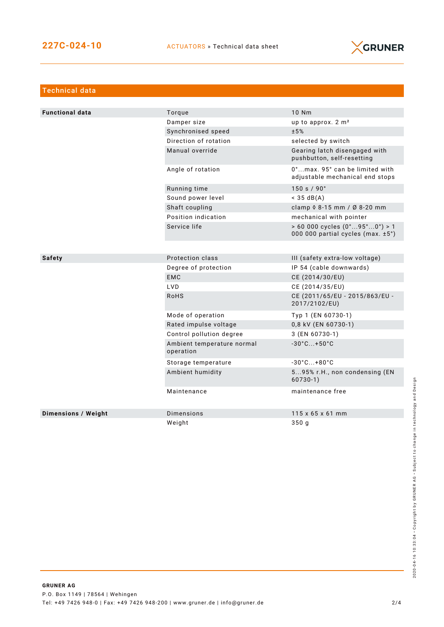

| <b>Technical data</b>      |                                         |                                                                                            |  |
|----------------------------|-----------------------------------------|--------------------------------------------------------------------------------------------|--|
|                            |                                         |                                                                                            |  |
| <b>Functional data</b>     | Torque                                  | 10 Nm                                                                                      |  |
|                            | Damper size                             | up to approx. 2 m <sup>2</sup>                                                             |  |
|                            | Synchronised speed                      | ±5%                                                                                        |  |
|                            | Direction of rotation                   | selected by switch                                                                         |  |
|                            | Manual override                         | Gearing latch disengaged with<br>pushbutton, self-resetting                                |  |
|                            | Angle of rotation                       | 0°max. 95° can be limited with<br>adjustable mechanical end stops                          |  |
|                            | Running time                            | 150 s / 90°                                                                                |  |
|                            | Sound power level                       | $<$ 35 dB(A)                                                                               |  |
|                            | Shaft coupling                          | clamp 0 8-15 mm / Ø 8-20 mm                                                                |  |
|                            | Position indication                     | mechanical with pointer                                                                    |  |
|                            | Service life                            | $> 60000$ cycles $(0^{\circ}95^{\circ}0^{\circ}) > 1$<br>000 000 partial cycles (max. ±5°) |  |
|                            |                                         |                                                                                            |  |
| Safety                     | Protection class                        | III (safety extra-low voltage)                                                             |  |
|                            | Degree of protection                    | IP 54 (cable downwards)                                                                    |  |
|                            | <b>EMC</b>                              | CE (2014/30/EU)                                                                            |  |
|                            | LVD                                     | CE (2014/35/EU)                                                                            |  |
|                            | RoHS                                    | CE (2011/65/EU - 2015/863/EU -<br>2017/2102/EU)                                            |  |
|                            | Mode of operation                       | Typ 1 (EN 60730-1)                                                                         |  |
|                            | Rated impulse voltage                   | 0,8 kV (EN 60730-1)                                                                        |  |
|                            | Control pollution degree                | 3 (EN 60730-1)                                                                             |  |
|                            | Ambient temperature normal<br>operation | $-30^{\circ}$ C +50 $^{\circ}$ C                                                           |  |
|                            | Storage temperature                     | $-30^{\circ}$ C +80 $^{\circ}$ C                                                           |  |
|                            | Ambient humidity                        | 595% r.H., non condensing (EN<br>$60730-1)$                                                |  |
|                            | Maintenance                             | maintenance free                                                                           |  |
| <b>Dimensions / Weight</b> | Dimensions                              | $115 \times 65 \times 61$ mm                                                               |  |
|                            | Weight                                  | 350 g                                                                                      |  |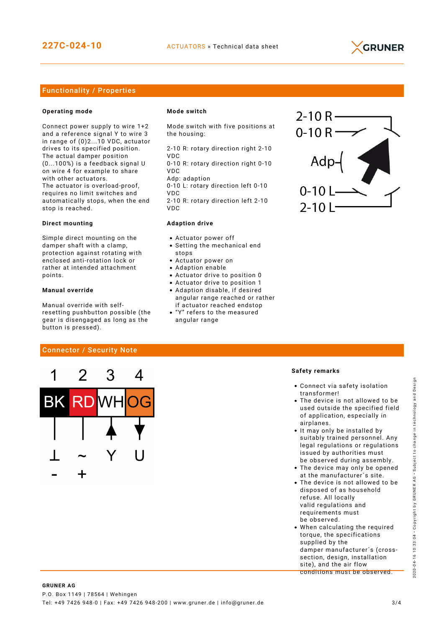

## Functionality / Properties

#### **Operating mode**

Connect power supply to wire 1+2 and a reference signal Y to wire 3 in range of (0)2...10 VDC, actuator drives to its specified position. The actual damper position (0...100%) is a feedback signal U on wire 4 for example to share with other actuators. The actuator is overload-proof, requires no limit switches and automatically stops, when the end stop is reached.

#### **Direct mounting**

Simple direct mounting on the damper shaft with a clamp, protection against rotating with enclosed anti-rotation lock or rather at intended attachment points.

#### **Manual override**

Manual override with selfresetting pushbutton possible (the gear is disengaged as long as the button is pressed).

Connector / Security Note

#### **Mode switch**

Mode switch with five positions at the housing:

2-10 R: rotary direction right 2-10 VDC

0-10 R: rotary direction right 0-10 VDC

Adp: adaption 0-10 L: rotary direction left 0-10 VDC

2-10 R: rotary direction left 2-10 VDC

#### **Adaption drive**

- Actuator power off
- Setting the mechanical end stops
- Actuator power on
- Adaption enable
- Actuator drive to position 0
- Actuator drive to position 1
- Adaption disable, if desired angular range reached or rather if actuator reached endstop
- "Y" refers to the measured angular range



### **Safety remarks**

- Connect via safety isolation transformer!
- The device is not allowed to be used outside the specified field of application, especially in airplanes.
- It may only be installed by suitably trained personnel. Any legal regulations or regulations issued by authorities must be observed during assembly.
- The device may only be opened at the manufacturer´s site.
- The device is not allowed to be disposed of as household refuse. All locally valid regulations and requirements must be observed.
- When calculating the required torque, the specifications supplied by the damper manufacturer´s (crosssection, design, installation site), and the air flow conditions must be observed.